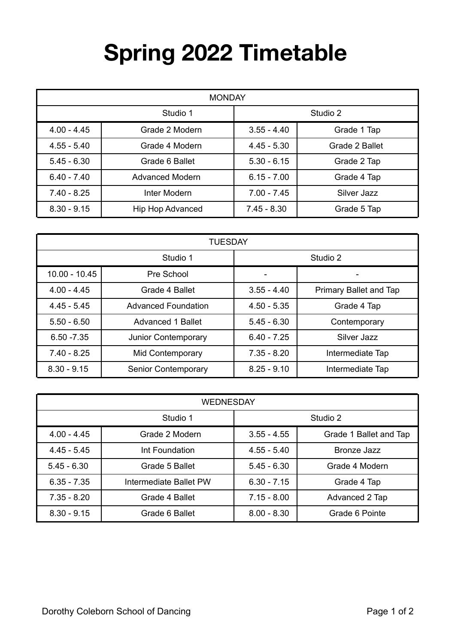## **Spring 2022 Timetable**

| <b>MONDAY</b> |                         |               |                |
|---------------|-------------------------|---------------|----------------|
| Studio 1      |                         | Studio 2      |                |
| $4.00 - 4.45$ | Grade 2 Modern          | $3.55 - 4.40$ | Grade 1 Tap    |
| $4.55 - 5.40$ | Grade 4 Modern          | $4.45 - 5.30$ | Grade 2 Ballet |
| $5.45 - 6.30$ | Grade 6 Ballet          | $5.30 - 6.15$ | Grade 2 Tap    |
| $6.40 - 7.40$ | <b>Advanced Modern</b>  | $6.15 - 7.00$ | Grade 4 Tap    |
| $7.40 - 8.25$ | Inter Modern            | $7.00 - 7.45$ | Silver Jazz    |
| $8.30 - 9.15$ | <b>Hip Hop Advanced</b> | $7.45 - 8.30$ | Grade 5 Tap    |

| <b>TUESDAY</b>  |                            |               |                        |
|-----------------|----------------------------|---------------|------------------------|
| Studio 1        |                            | Studio 2      |                        |
| $10.00 - 10.45$ | Pre School                 |               |                        |
| $4.00 - 4.45$   | Grade 4 Ballet             | $3.55 - 4.40$ | Primary Ballet and Tap |
| $4.45 - 5.45$   | <b>Advanced Foundation</b> | $4.50 - 5.35$ | Grade 4 Tap            |
| $5.50 - 6.50$   | <b>Advanced 1 Ballet</b>   | $5.45 - 6.30$ | Contemporary           |
| $6.50 - 7.35$   | Junior Contemporary        | $6.40 - 7.25$ | Silver Jazz            |
| $7.40 - 8.25$   | Mid Contemporary           | $7.35 - 8.20$ | Intermediate Tap       |
| $8.30 - 9.15$   | <b>Senior Contemporary</b> | $8.25 - 9.10$ | Intermediate Tap       |

| <b>WEDNESDAY</b> |                        |               |                        |
|------------------|------------------------|---------------|------------------------|
| Studio 1         |                        | Studio 2      |                        |
| $4.00 - 4.45$    | Grade 2 Modern         | $3.55 - 4.55$ | Grade 1 Ballet and Tap |
| $4.45 - 5.45$    | Int Foundation         | $4.55 - 5.40$ | Bronze Jazz            |
| $5.45 - 6.30$    | Grade 5 Ballet         | $5.45 - 6.30$ | Grade 4 Modern         |
| $6.35 - 7.35$    | Intermediate Ballet PW | $6.30 - 7.15$ | Grade 4 Tap            |
| $7.35 - 8.20$    | Grade 4 Ballet         | $7.15 - 8.00$ | Advanced 2 Tap         |
| $8.30 - 9.15$    | Grade 6 Ballet         | $8.00 - 8.30$ | Grade 6 Pointe         |